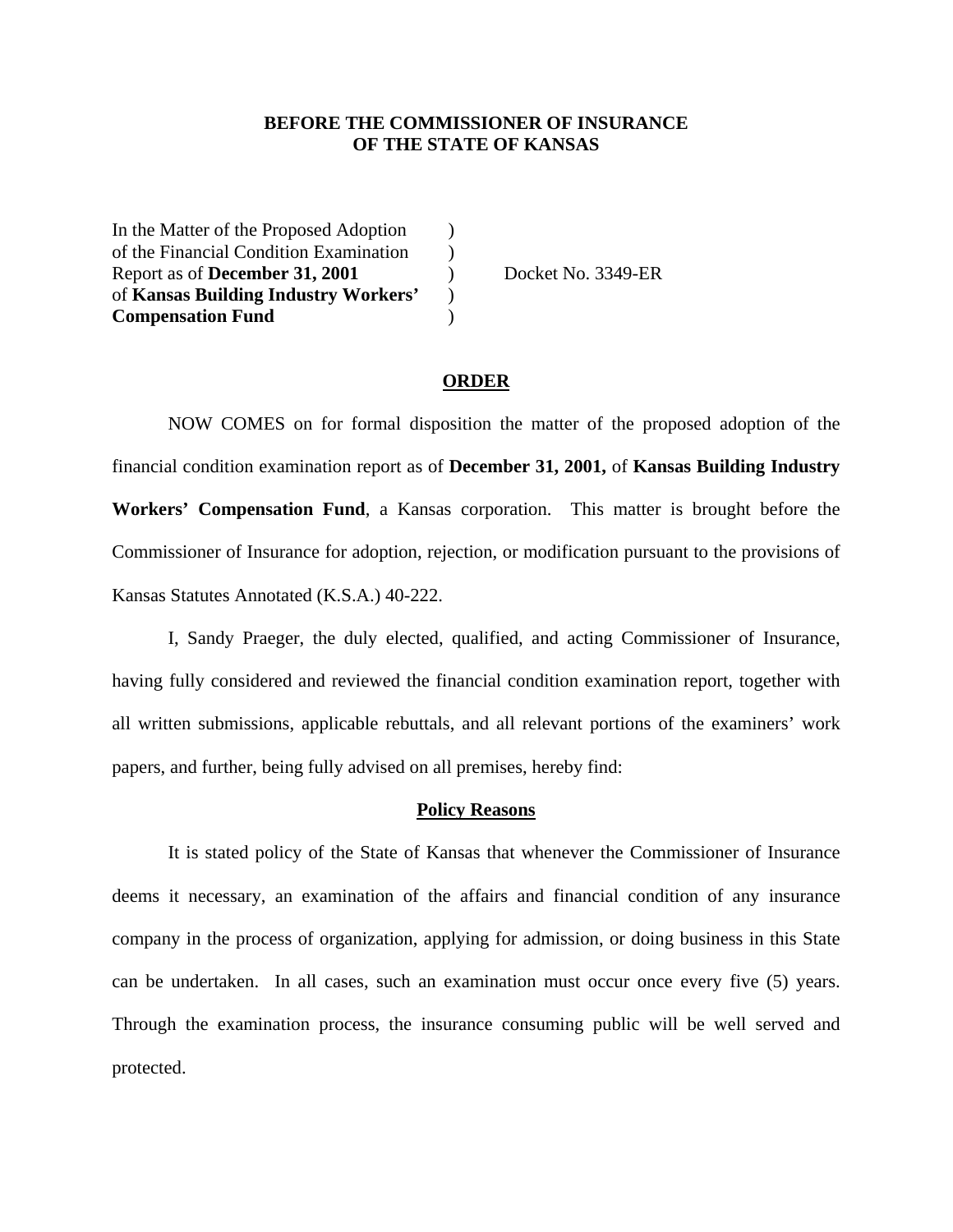### **BEFORE THE COMMISSIONER OF INSURANCE OF THE STATE OF KANSAS**

In the Matter of the Proposed Adoption ) of the Financial Condition Examination ) Report as of **December 31, 2001** ) Docket No. 3349-ER of **Kansas Building Industry Workers'** ) **Compensation Fund** )

### **ORDER**

 NOW COMES on for formal disposition the matter of the proposed adoption of the financial condition examination report as of **December 31, 2001,** of **Kansas Building Industry Workers' Compensation Fund**, a Kansas corporation. This matter is brought before the Commissioner of Insurance for adoption, rejection, or modification pursuant to the provisions of Kansas Statutes Annotated (K.S.A.) 40-222.

 I, Sandy Praeger, the duly elected, qualified, and acting Commissioner of Insurance, having fully considered and reviewed the financial condition examination report, together with all written submissions, applicable rebuttals, and all relevant portions of the examiners' work papers, and further, being fully advised on all premises, hereby find:

#### **Policy Reasons**

 It is stated policy of the State of Kansas that whenever the Commissioner of Insurance deems it necessary, an examination of the affairs and financial condition of any insurance company in the process of organization, applying for admission, or doing business in this State can be undertaken. In all cases, such an examination must occur once every five (5) years. Through the examination process, the insurance consuming public will be well served and protected.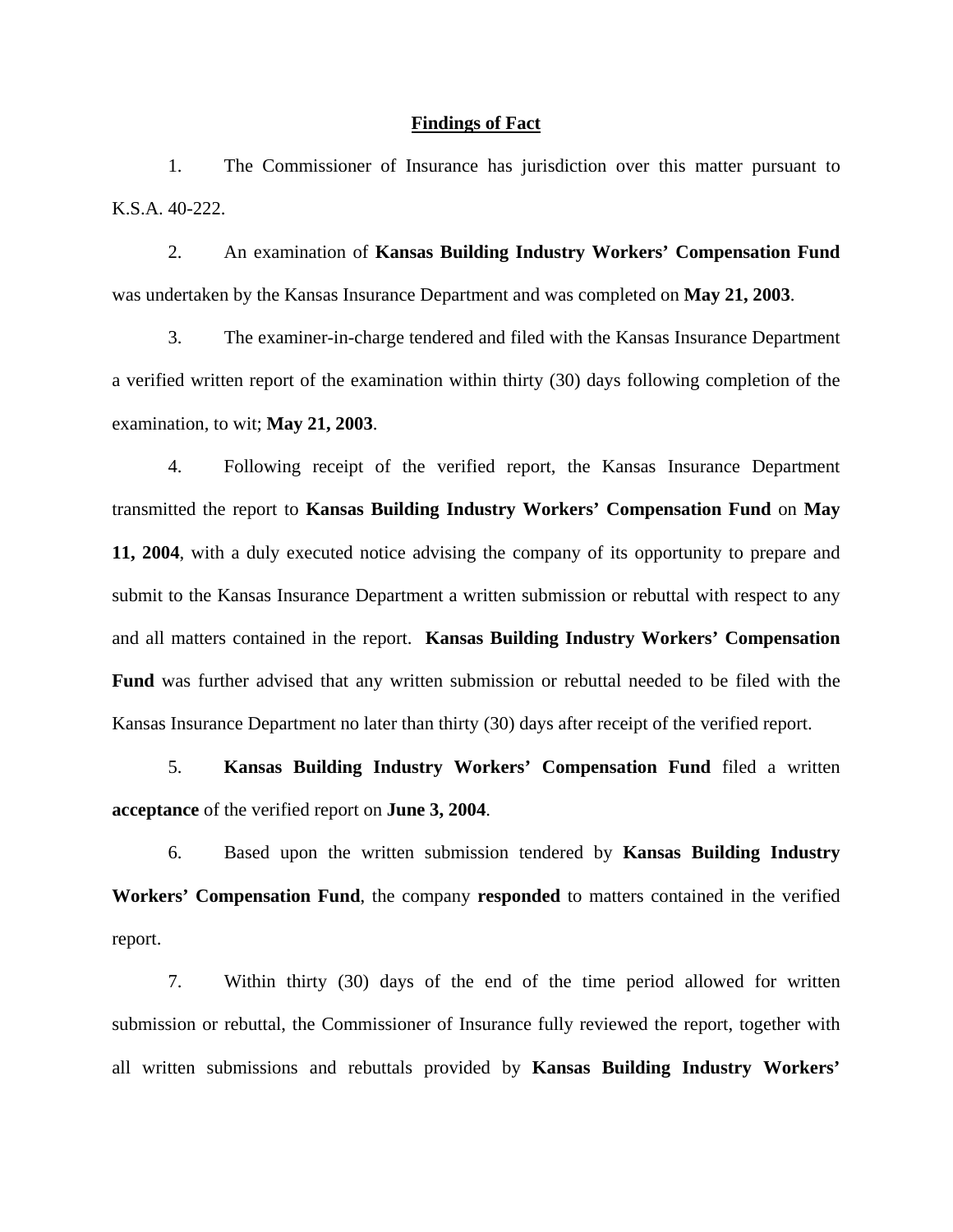### **Findings of Fact**

 1. The Commissioner of Insurance has jurisdiction over this matter pursuant to K.S.A. 40-222.

 2. An examination of **Kansas Building Industry Workers' Compensation Fund** was undertaken by the Kansas Insurance Department and was completed on **May 21, 2003**.

 3. The examiner-in-charge tendered and filed with the Kansas Insurance Department a verified written report of the examination within thirty (30) days following completion of the examination, to wit; **May 21, 2003**.

 4. Following receipt of the verified report, the Kansas Insurance Department transmitted the report to **Kansas Building Industry Workers' Compensation Fund** on **May 11, 2004**, with a duly executed notice advising the company of its opportunity to prepare and submit to the Kansas Insurance Department a written submission or rebuttal with respect to any and all matters contained in the report. **Kansas Building Industry Workers' Compensation Fund** was further advised that any written submission or rebuttal needed to be filed with the Kansas Insurance Department no later than thirty (30) days after receipt of the verified report.

 5. **Kansas Building Industry Workers' Compensation Fund** filed a written **acceptance** of the verified report on **June 3, 2004**.

 6. Based upon the written submission tendered by **Kansas Building Industry Workers' Compensation Fund**, the company **responded** to matters contained in the verified report.

 7. Within thirty (30) days of the end of the time period allowed for written submission or rebuttal, the Commissioner of Insurance fully reviewed the report, together with all written submissions and rebuttals provided by **Kansas Building Industry Workers'**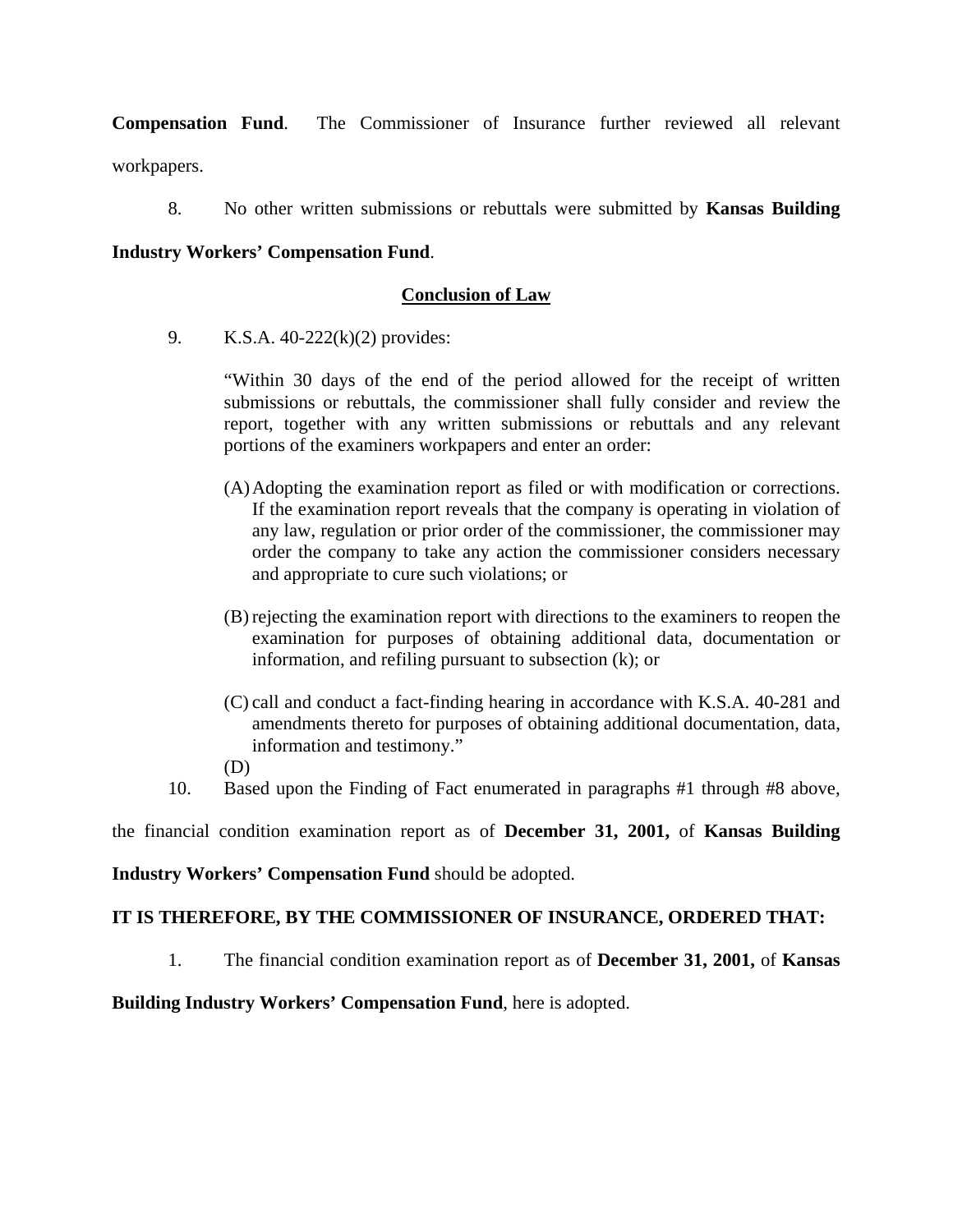**Compensation Fund**. The Commissioner of Insurance further reviewed all relevant workpapers.

8. No other written submissions or rebuttals were submitted by **Kansas Building** 

## **Industry Workers' Compensation Fund**.

# **Conclusion of Law**

9. K.S.A. 40-222(k)(2) provides:

"Within 30 days of the end of the period allowed for the receipt of written submissions or rebuttals, the commissioner shall fully consider and review the report, together with any written submissions or rebuttals and any relevant portions of the examiners workpapers and enter an order:

- (A) Adopting the examination report as filed or with modification or corrections. If the examination report reveals that the company is operating in violation of any law, regulation or prior order of the commissioner, the commissioner may order the company to take any action the commissioner considers necessary and appropriate to cure such violations; or
- (B) rejecting the examination report with directions to the examiners to reopen the examination for purposes of obtaining additional data, documentation or information, and refiling pursuant to subsection (k); or
- (C) call and conduct a fact-finding hearing in accordance with K.S.A. 40-281 and amendments thereto for purposes of obtaining additional documentation, data, information and testimony."
- (D)
- 10. Based upon the Finding of Fact enumerated in paragraphs #1 through #8 above,

the financial condition examination report as of **December 31, 2001,** of **Kansas Building** 

**Industry Workers' Compensation Fund** should be adopted.

## **IT IS THEREFORE, BY THE COMMISSIONER OF INSURANCE, ORDERED THAT:**

1. The financial condition examination report as of **December 31, 2001,** of **Kansas** 

**Building Industry Workers' Compensation Fund**, here is adopted.